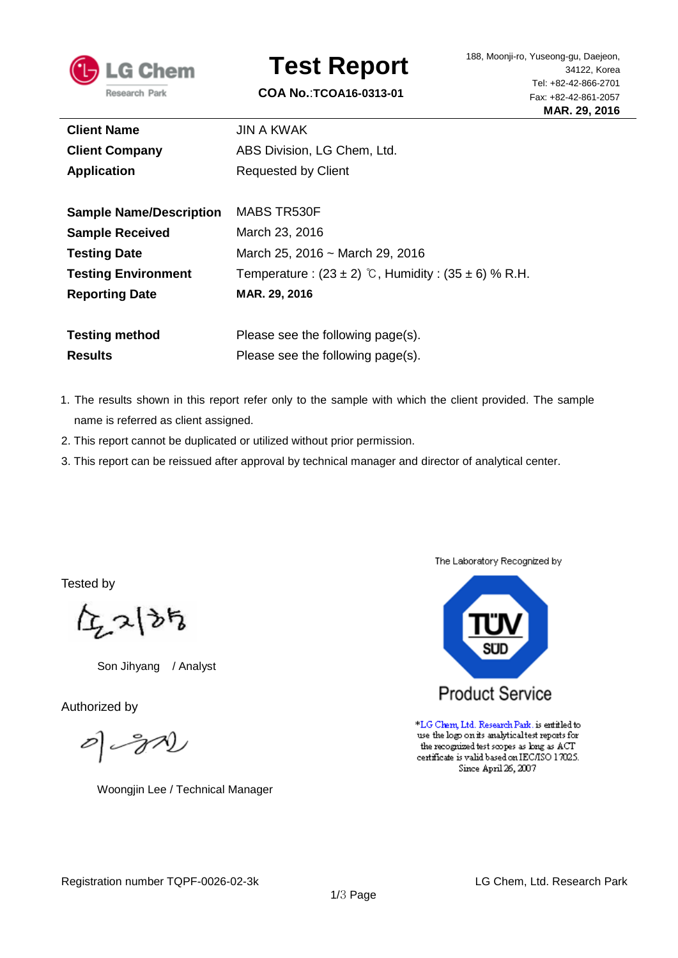

# **Test Report**

**COA No.**:**TCOA16-0313-01**

| <b>Client Name</b>             | <b>JIN A KWAK</b>                                           |  |
|--------------------------------|-------------------------------------------------------------|--|
| <b>Client Company</b>          | ABS Division, LG Chem, Ltd.                                 |  |
| <b>Application</b>             | Requested by Client                                         |  |
|                                |                                                             |  |
| <b>Sample Name/Description</b> | MABS TR530F                                                 |  |
| <b>Sample Received</b>         | March 23, 2016                                              |  |
| <b>Testing Date</b>            | March 25, 2016 ~ March 29, 2016                             |  |
| <b>Testing Environment</b>     | Temperature: $(23 \pm 2)$ °C, Humidity: $(35 \pm 6)$ % R.H. |  |
| <b>Reporting Date</b>          | MAR. 29, 2016                                               |  |
|                                |                                                             |  |
| <b>Testing method</b>          | Please see the following page(s).                           |  |
| <b>Results</b>                 | Please see the following page(s).                           |  |

- 1. The results shown in this report refer only to the sample with which the client provided. The sample name is referred as client assigned.
- 2. This report cannot be duplicated or utilized without prior permission.
- 3. This report can be reissued after approval by technical manager and director of analytical center.

Tested by

 $\sum_{i}$ 2 $\left\{ \vartheta_{i}\right\}$ 

Son Jihyang / Analyst

Authorized by

 $\mathscr{O}(\mathscr{S}\mathscr{D})$ 

Woongjin Lee / Technical Manager

The Laboratory Recognized by



\*LG Chem, Ltd. Research Park. is entitled to use the logo on its analytical test reports for the recognized test scopes as long as ACT certificate is valid based on IEC/ISO 17025. Since April 26, 2007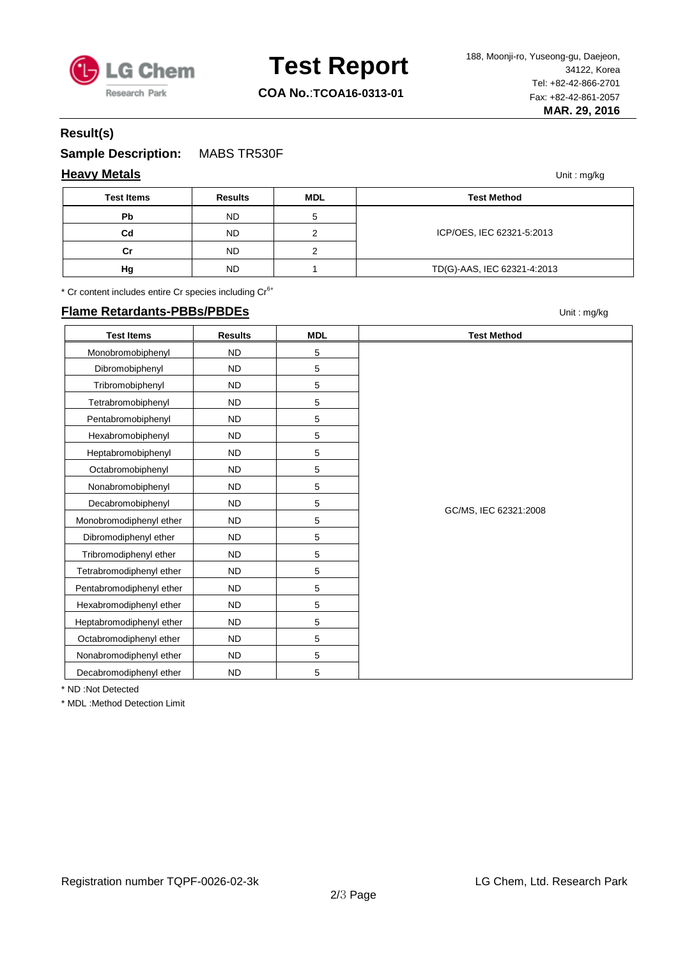

### **Test Report**

**COA No.**:**TCOA16-0313-01**

### **Result(s)**

**Sample Description:** MABS TR530F

### **Heavy Metals** Unit : mg/kg

| <b>Test Items</b> | <b>Results</b> | <b>MDL</b> | <b>Test Method</b>          |
|-------------------|----------------|------------|-----------------------------|
| Pb                | <b>ND</b>      |            |                             |
| Cd                | <b>ND</b>      |            | ICP/OES, IEC 62321-5:2013   |
| Сr                | <b>ND</b>      |            |                             |
| Hg                | <b>ND</b>      |            | TD(G)-AAS, IEC 62321-4:2013 |

\* Cr content includes entire Cr species including Cr<sup>6+</sup>

#### **Flame Retardants-PBBs/PBDEs** Unit : mg/kg

**Test Items Results MDL Test Method** Monobromobiphenyl ND 5 GC/MS, IEC 62321:2008 Dibromobiphenyl ND 5 Tribromobiphenyl | ND 5 Tetrabromobiphenyl ND 5 Pentabromobiphenyl ND 5 Hexabromobiphenyl ND 5 Heptabromobiphenyl ND 5 Octabromobiphenyl ND 5 Nonabromobiphenyl ND 5 Decabromobiphenyl ND 5 Monobromodiphenyl ether ND ND 5 Dibromodiphenyl ether  $\vert$  ND 5 Tribromodiphenyl ether | ND | 5 Tetrabromodiphenyl ether ND ND 5 Pentabromodiphenyl ether ND ND 5 Hexabromodiphenyl ether ND ND 5 Heptabromodiphenyl ether ND ND 5 Octabromodiphenyl ether | ND | 5 Nonabromodiphenyl ether ND ND 5 Decabromodiphenyl ether ND ND 5

\* ND :Not Detected

\* MDL :Method Detection Limit